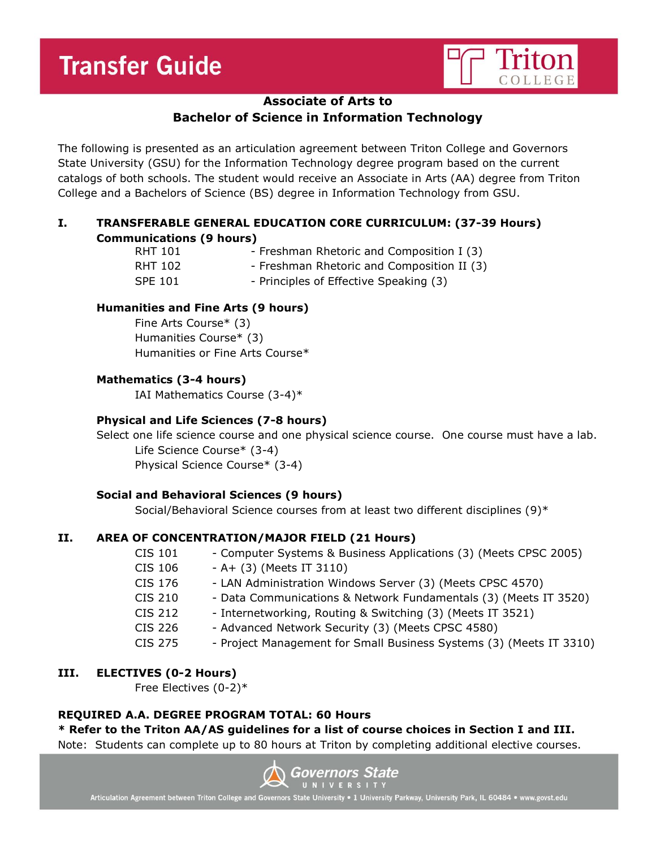# **Transfer Guide**



# **Associate of Arts to**

# **Bachelor of Science in Information Technology**

The following is presented as an articulation agreement between Triton College and Governors State University (GSU) for the Information Technology degree program based on the current catalogs of both schools. The student would receive an Associate in Arts (AA) degree from Triton College and a Bachelors of Science (BS) degree in Information Technology from GSU.

# **I. TRANSFERABLE GENERAL EDUCATION CORE CURRICULUM: (37-39 Hours) Communications (9 hours)**

| RHT 101 | - Freshman Rhetoric and Composition I (3)  |
|---------|--------------------------------------------|
| RHT 102 | - Freshman Rhetoric and Composition II (3) |
| SPE 101 | - Principles of Effective Speaking (3)     |

# **Humanities and Fine Arts (9 hours)**

Fine Arts Course\* (3) Humanities Course\* (3) Humanities or Fine Arts Course\*

### **Mathematics (3-4 hours)**

IAI Mathematics Course (3-4)\*

## **Physical and Life Sciences (7-8 hours)**

Select one life science course and one physical science course. One course must have a lab. Life Science Course\* (3-4) Physical Science Course\* (3-4)

#### **Social and Behavioral Sciences (9 hours)**

Social/Behavioral Science courses from at least two different disciplines (9)\*

# **II. AREA OF CONCENTRATION/MAJOR FIELD (21 Hours)**

| <b>CIS 101</b> | - Computer Systems & Business Applications (3) (Meets CPSC 2005)    |
|----------------|---------------------------------------------------------------------|
| CIS 106        | $- A + (3)$ (Meets IT 3110)                                         |
| CIS 176        | - LAN Administration Windows Server (3) (Meets CPSC 4570)           |
| <b>CIS 210</b> | - Data Communications & Network Fundamentals (3) (Meets IT 3520)    |
| <b>CIS 212</b> | - Internetworking, Routing & Switching (3) (Meets IT 3521)          |
| <b>CIS 226</b> | - Advanced Network Security (3) (Meets CPSC 4580)                   |
| <b>CIS 275</b> | - Project Management for Small Business Systems (3) (Meets IT 3310) |
|                |                                                                     |

#### **III. ELECTIVES (0-2 Hours)**

Free Electives (0-2)\*

#### **REQUIRED A.A. DEGREE PROGRAM TOTAL: 60 Hours**

# **\* Refer to the Triton AA/AS guidelines for a list of course choices in Section I and III.**

Note: Students can complete up to 80 hours at Triton by completing additional elective courses.



Articulation Agreement between Triton College and Governors State University . 1 University Parkway, University Park, IL 60484 . www.govst.edu